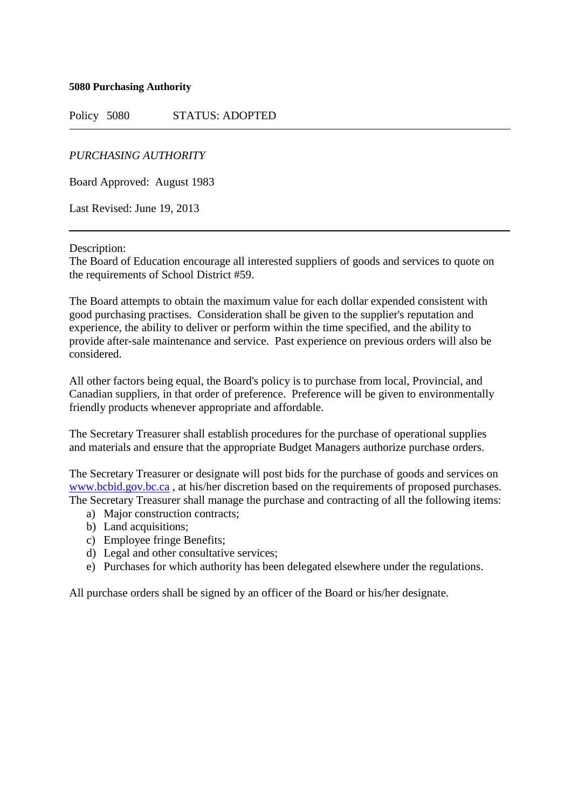**5080 Purchasing Authority**

Policy 5080 STATUS: ADOPTED

*PURCHASING AUTHORITY*

Board Approved: August 1983

Last Revised: June 19, 2013

Description:

The Board of Education encourage all interested suppliers of goods and services to quote on the requirements of School District #59.

The Board attempts to obtain the maximum value for each dollar expended consistent with good purchasing practises. Consideration shall be given to the supplier's reputation and experience, the ability to deliver or perform within the time specified, and the ability to provide after-sale maintenance and service. Past experience on previous orders will also be considered.

All other factors being equal, the Board's policy is to purchase from local, Provincial, and Canadian suppliers, in that order of preference. Preference will be given to environmentally friendly products whenever appropriate and affordable.

The Secretary Treasurer shall establish procedures for the purchase of operational supplies and materials and ensure that the appropriate Budget Managers authorize purchase orders.

The Secretary Treasurer or designate will post bids for the purchase of goods and services on [www.bcbid.gov.bc.ca](http://www.bcbid.gov.bc.ca/) , at his/her discretion based on the requirements of proposed purchases. The Secretary Treasurer shall manage the purchase and contracting of all the following items:

- a) Major construction contracts;
- b) Land acquisitions;
- c) Employee fringe Benefits;
- d) Legal and other consultative services;
- e) Purchases for which authority has been delegated elsewhere under the regulations.

All purchase orders shall be signed by an officer of the Board or his/her designate.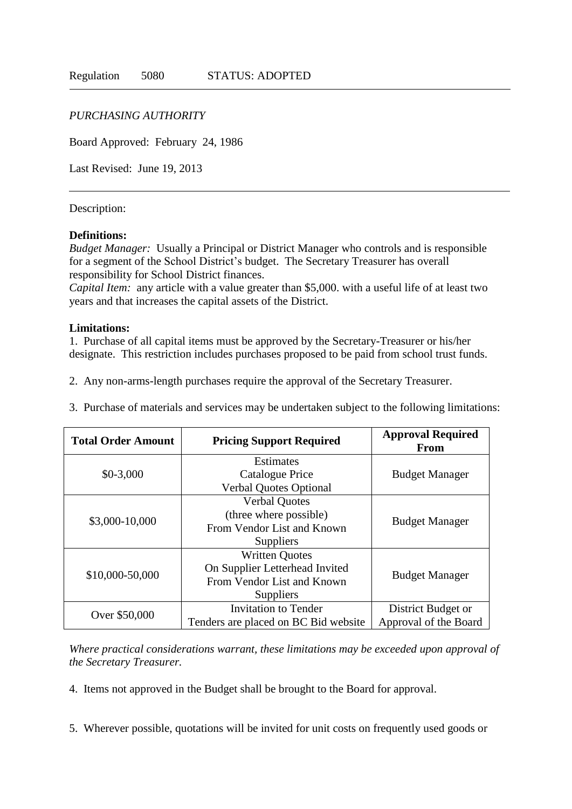# *PURCHASING AUTHORITY*

Board Approved: February 24, 1986

Last Revised: June 19, 2013

### Description:

### **Definitions:**

*Budget Manager:* Usually a Principal or District Manager who controls and is responsible for a segment of the School District's budget. The Secretary Treasurer has overall responsibility for School District finances.

*Capital Item:* any article with a value greater than \$5,000. with a useful life of at least two years and that increases the capital assets of the District.

### **Limitations:**

1. Purchase of all capital items must be approved by the Secretary-Treasurer or his/her designate. This restriction includes purchases proposed to be paid from school trust funds.

- 2. Any non-arms-length purchases require the approval of the Secretary Treasurer.
- 3. Purchase of materials and services may be undertaken subject to the following limitations:

| <b>Total Order Amount</b> | <b>Pricing Support Required</b>      | <b>Approval Required</b><br><b>From</b> |
|---------------------------|--------------------------------------|-----------------------------------------|
| $$0-3,000$                | <b>Estimates</b>                     |                                         |
|                           | Catalogue Price                      | <b>Budget Manager</b>                   |
|                           | <b>Verbal Quotes Optional</b>        |                                         |
| \$3,000-10,000            | <b>Verbal Quotes</b>                 | <b>Budget Manager</b>                   |
|                           | (three where possible)               |                                         |
|                           | From Vendor List and Known           |                                         |
|                           | Suppliers                            |                                         |
| \$10,000-50,000           | <b>Written Quotes</b>                | <b>Budget Manager</b>                   |
|                           | On Supplier Letterhead Invited       |                                         |
|                           | From Vendor List and Known           |                                         |
|                           | Suppliers                            |                                         |
| Over \$50,000             | <b>Invitation to Tender</b>          | District Budget or                      |
|                           | Tenders are placed on BC Bid website | Approval of the Board                   |

*Where practical considerations warrant, these limitations may be exceeded upon approval of the Secretary Treasurer.*

4. Items not approved in the Budget shall be brought to the Board for approval.

5. Wherever possible, quotations will be invited for unit costs on frequently used goods or